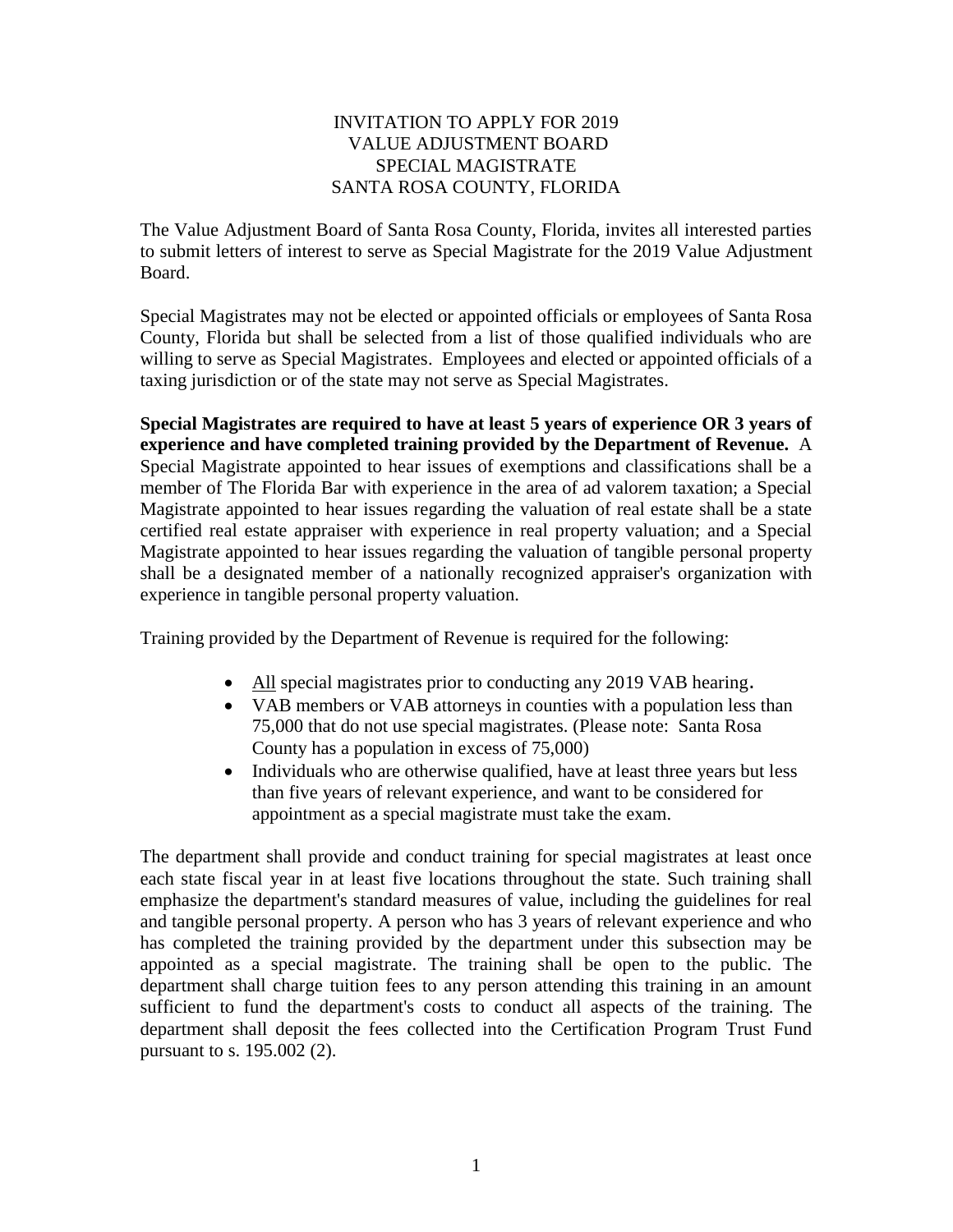## INVITATION TO APPLY FOR 2019 VALUE ADJUSTMENT BOARD SPECIAL MAGISTRATE SANTA ROSA COUNTY, FLORIDA

The Value Adjustment Board of Santa Rosa County, Florida, invites all interested parties to submit letters of interest to serve as Special Magistrate for the 2019 Value Adjustment Board.

Special Magistrates may not be elected or appointed officials or employees of Santa Rosa County, Florida but shall be selected from a list of those qualified individuals who are willing to serve as Special Magistrates. Employees and elected or appointed officials of a taxing jurisdiction or of the state may not serve as Special Magistrates.

**Special Magistrates are required to have at least 5 years of experience OR 3 years of experience and have completed training provided by the Department of Revenue.** A Special Magistrate appointed to hear issues of exemptions and classifications shall be a member of The Florida Bar with experience in the area of ad valorem taxation; a Special Magistrate appointed to hear issues regarding the valuation of real estate shall be a state certified real estate appraiser with experience in real property valuation; and a Special Magistrate appointed to hear issues regarding the valuation of tangible personal property shall be a designated member of a nationally recognized appraiser's organization with experience in tangible personal property valuation.

Training provided by the Department of Revenue is required for the following:

- All special magistrates prior to conducting any 2019 VAB hearing.
- VAB members or VAB attorneys in counties with a population less than 75,000 that do not use special magistrates. (Please note: Santa Rosa County has a population in excess of 75,000)
- Individuals who are otherwise qualified, have at least three years but less than five years of relevant experience, and want to be considered for appointment as a special magistrate must take the exam.

The department shall provide and conduct training for special magistrates at least once each state fiscal year in at least five locations throughout the state. Such training shall emphasize the department's standard measures of value, including the guidelines for real and tangible personal property. A person who has 3 years of relevant experience and who has completed the training provided by the department under this subsection may be appointed as a special magistrate. The training shall be open to the public. The department shall charge tuition fees to any person attending this training in an amount sufficient to fund the department's costs to conduct all aspects of the training. The department shall deposit the fees collected into the Certification Program Trust Fund pursuant to s. 195.002 (2).